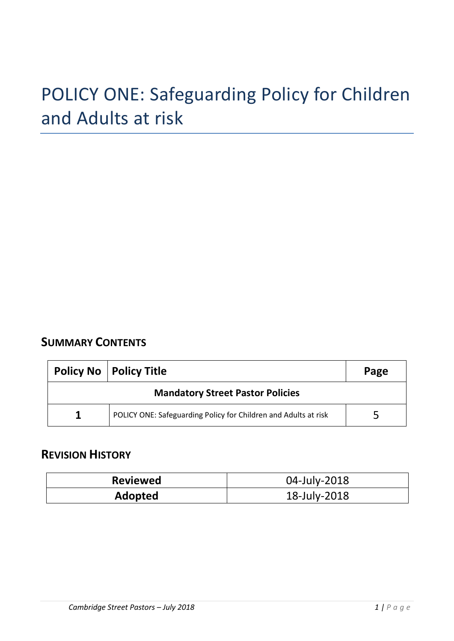# **SUMMARY CONTENTS**

| <b>Policy No   Policy Title</b>         | Page                                                            |  |  |  |
|-----------------------------------------|-----------------------------------------------------------------|--|--|--|
| <b>Mandatory Street Pastor Policies</b> |                                                                 |  |  |  |
| 1                                       | POLICY ONE: Safeguarding Policy for Children and Adults at risk |  |  |  |

# **REVISION HISTORY**

| <b>Reviewed</b> | 04-July-2018 |  |  |
|-----------------|--------------|--|--|
| Adopted         | 18-July-2018 |  |  |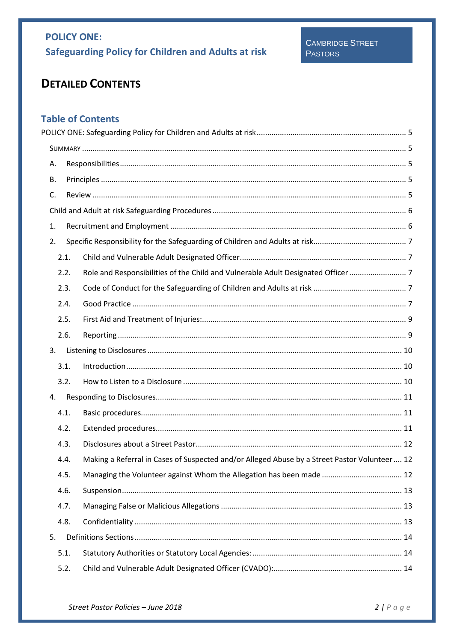# **DETAILED CONTENTS**

# **Table of Contents**

| Α. |      |                                                                                              |  |
|----|------|----------------------------------------------------------------------------------------------|--|
| В. |      |                                                                                              |  |
| C. |      |                                                                                              |  |
|    |      |                                                                                              |  |
| 1. |      |                                                                                              |  |
| 2. |      |                                                                                              |  |
|    | 2.1. |                                                                                              |  |
|    | 2.2. |                                                                                              |  |
|    | 2.3. |                                                                                              |  |
|    | 2.4. |                                                                                              |  |
|    | 2.5. |                                                                                              |  |
|    | 2.6. |                                                                                              |  |
| 3. |      |                                                                                              |  |
|    | 3.1. |                                                                                              |  |
|    | 3.2. |                                                                                              |  |
| 4. |      |                                                                                              |  |
|    | 4.1. |                                                                                              |  |
|    | 4.2. |                                                                                              |  |
|    | 4.3. |                                                                                              |  |
|    | 4.4. | Making a Referral in Cases of Suspected and/or Alleged Abuse by a Street Pastor Volunteer 12 |  |
|    | 4.5. | Managing the Volunteer against Whom the Allegation has been made  12                         |  |
|    | 4.6. |                                                                                              |  |
|    | 4.7. |                                                                                              |  |
|    | 4.8. |                                                                                              |  |
| 5. |      |                                                                                              |  |
|    | 5.1. |                                                                                              |  |
|    | 5.2. |                                                                                              |  |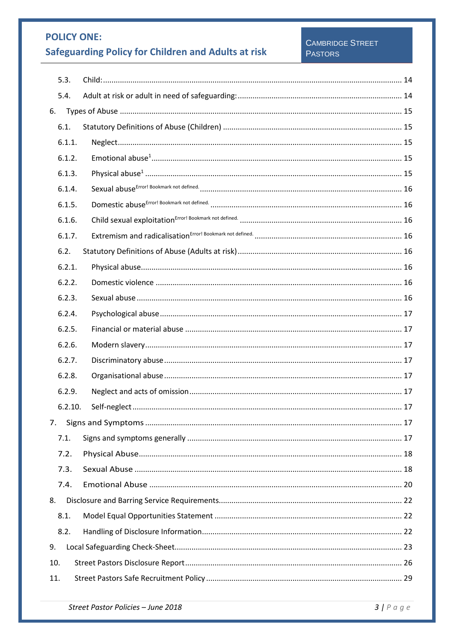# **Safeguarding Policy for Children and Adults at risk**

### CAMBRIDGE STREET **PASTORS**

|     | 5.3.    |  |
|-----|---------|--|
|     | 5.4.    |  |
| 6.  |         |  |
|     | 6.1.    |  |
|     | 6.1.1.  |  |
|     | 6.1.2.  |  |
|     | 6.1.3.  |  |
|     | 6.1.4.  |  |
|     | 6.1.5.  |  |
|     | 6.1.6.  |  |
|     | 6.1.7.  |  |
|     | 6.2.    |  |
|     | 6.2.1.  |  |
|     | 6.2.2.  |  |
|     | 6.2.3.  |  |
|     | 6.2.4.  |  |
|     | 6.2.5.  |  |
|     | 6.2.6.  |  |
|     | 6.2.7.  |  |
|     | 6.2.8.  |  |
|     | 6.2.9.  |  |
|     | 6.2.10. |  |
| 7.  |         |  |
|     | 7.1.    |  |
|     | 7.2.    |  |
|     | 7.3.    |  |
|     | 7.4.    |  |
| 8.  |         |  |
|     | 8.1.    |  |
|     | 8.2.    |  |
| 9.  |         |  |
| 10. |         |  |
| 11. |         |  |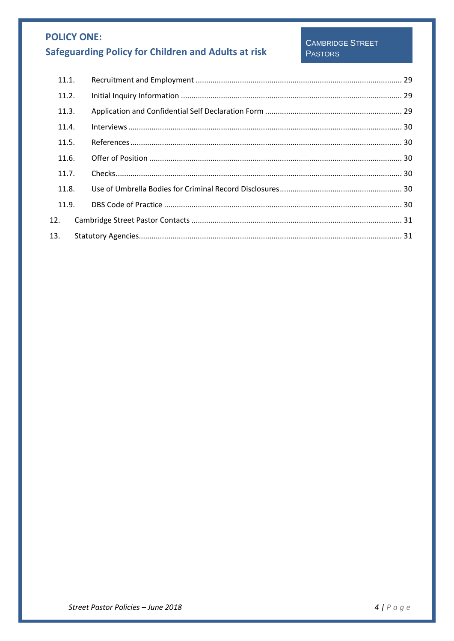| 11.1. |  |  |
|-------|--|--|
| 11.2. |  |  |
| 11.3. |  |  |
| 11.4. |  |  |
| 11.5. |  |  |
| 11.6. |  |  |
| 11.7. |  |  |
| 11.8. |  |  |
| 11.9. |  |  |
| 12.   |  |  |
| 13.   |  |  |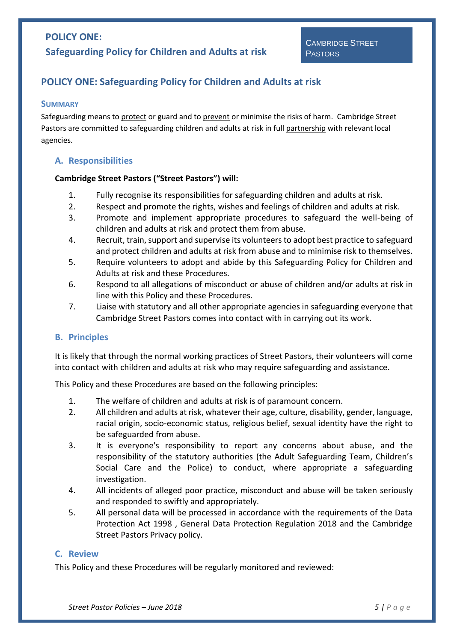#### <span id="page-4-1"></span><span id="page-4-0"></span>**SUMMARY**

Safeguarding means to protect or guard and to prevent or minimise the risks of harm. Cambridge Street Pastors are committed to safeguarding children and adults at risk in full partnership with relevant local agencies.

### <span id="page-4-2"></span>**A. Responsibilities**

### **Cambridge Street Pastors ("Street Pastors") will:**

- 1. Fully recognise its responsibilities for safeguarding children and adults at risk.
- 2. Respect and promote the rights, wishes and feelings of children and adults at risk.
- 3. Promote and implement appropriate procedures to safeguard the well-being of children and adults at risk and protect them from abuse.
- 4. Recruit, train, support and supervise its volunteers to adopt best practice to safeguard and protect children and adults at risk from abuse and to minimise risk to themselves.
- 5. Require volunteers to adopt and abide by this Safeguarding Policy for Children and Adults at risk and these Procedures.
- 6. Respond to all allegations of misconduct or abuse of children and/or adults at risk in line with this Policy and these Procedures.
- 7. Liaise with statutory and all other appropriate agencies in safeguarding everyone that Cambridge Street Pastors comes into contact with in carrying out its work.

### <span id="page-4-3"></span>**B. Principles**

It is likely that through the normal working practices of Street Pastors, their volunteers will come into contact with children and adults at risk who may require safeguarding and assistance.

This Policy and these Procedures are based on the following principles:

- 1. The welfare of children and adults at risk is of paramount concern.
- 2. All children and adults at risk, whatever their age, culture, disability, gender, language, racial origin, socio-economic status, religious belief, sexual identity have the right to be safeguarded from abuse.
- 3. It is everyone's responsibility to report any concerns about abuse, and the responsibility of the statutory authorities (the Adult Safeguarding Team, Children's Social Care and the Police) to conduct, where appropriate a safeguarding investigation.
- 4. All incidents of alleged poor practice, misconduct and abuse will be taken seriously and responded to swiftly and appropriately.
- 5. All personal data will be processed in accordance with the requirements of the Data Protection Act 1998 , General Data Protection Regulation 2018 and the Cambridge Street Pastors Privacy policy.

### <span id="page-4-4"></span>**C. Review**

This Policy and these Procedures will be regularly monitored and reviewed: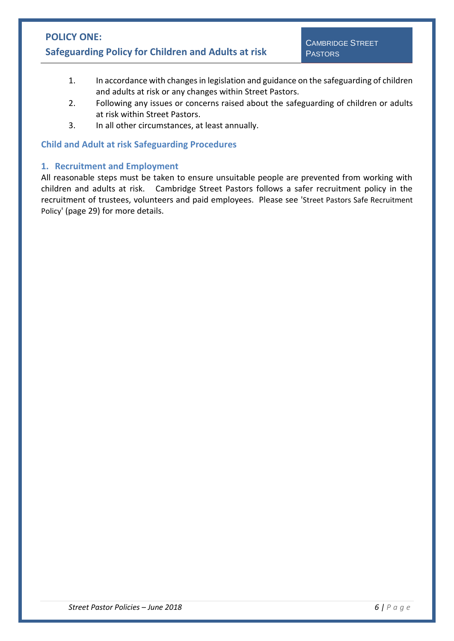- 1. In accordance with changes in legislation and guidance on the safeguarding of children and adults at risk or any changes within Street Pastors.
- 2. Following any issues or concerns raised about the safeguarding of children or adults at risk within Street Pastors.
- 3. In all other circumstances, at least annually.

### <span id="page-5-0"></span>**Child and Adult at risk Safeguarding Procedures**

### <span id="page-5-1"></span>**1. Recruitment and Employment**

All reasonable steps must be taken to ensure unsuitable people are prevented from working with children and adults at risk. Cambridge Street Pastors follows a safer recruitment policy in the recruitment of trustees, volunteers and paid employees. Please see '[Street Pastors Safe Recruitment](#page-28-0)  [Policy](#page-28-0)' (page [29\)](#page-28-0) for more details.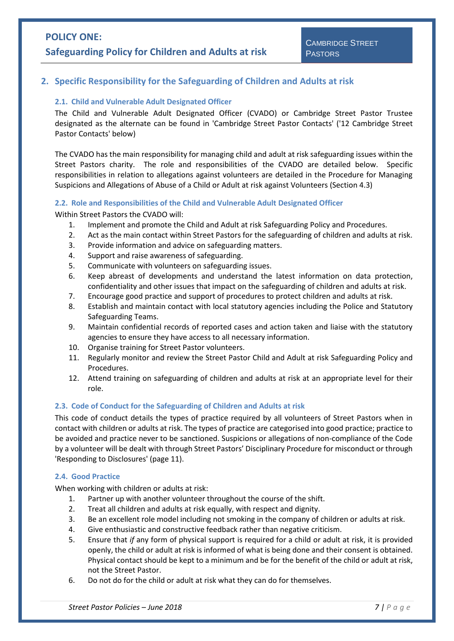### <span id="page-6-1"></span><span id="page-6-0"></span>**2. Specific Responsibility for the Safeguarding of Children and Adults at risk**

#### **2.1. Child and Vulnerable Adult Designated Officer**

The Child and Vulnerable Adult Designated Officer (CVADO) or Cambridge Street Pastor Trustee designated as the alternate can be found in ['Cambridge Street Pastor Contacts'](#page-30-0) (['12](#page-30-0) [Cambridge Street](#page-30-0)  [Pastor Contacts' below\)](#page-30-0)

The CVADO has the main responsibility for managing child and adult at risk safeguarding issues within the Street Pastors charity. The role and responsibilities of the CVADO are detailed below. Specific responsibilities in relation to allegations against volunteers are detailed in the Procedure for Managing Suspicions and Allegations of Abuse of a Child or Adult at risk against Volunteers (Section 4.3)

#### <span id="page-6-2"></span>**2.2. Role and Responsibilities of the Child and Vulnerable Adult Designated Officer**

Within Street Pastors the CVADO will:

- 1. Implement and promote the Child and Adult at risk Safeguarding Policy and Procedures.
- 2. Act as the main contact within Street Pastors for the safeguarding of children and adults at risk.
- 3. Provide information and advice on safeguarding matters.
- 4. Support and raise awareness of safeguarding.
- 5. Communicate with volunteers on safeguarding issues.
- 6. Keep abreast of developments and understand the latest information on data protection, confidentiality and other issues that impact on the safeguarding of children and adults at risk.
- 7. Encourage good practice and support of procedures to protect children and adults at risk.
- 8. Establish and maintain contact with local statutory agencies including the Police and Statutory Safeguarding Teams.
- 9. Maintain confidential records of reported cases and action taken and liaise with the statutory agencies to ensure they have access to all necessary information.
- 10. Organise training for Street Pastor volunteers.
- 11. Regularly monitor and review the Street Pastor Child and Adult at risk Safeguarding Policy and Procedures.
- 12. Attend training on safeguarding of children and adults at risk at an appropriate level for their role.

#### <span id="page-6-3"></span>**2.3. Code of Conduct for the Safeguarding of Children and Adults at risk**

This code of conduct details the types of practice required by all volunteers of Street Pastors when in contact with children or adults at risk. The types of practice are categorised into good practice; practice to be avoided and practice never to be sanctioned. Suspicions or allegations of non-compliance of the Code by a volunteer will be dealt with through Street Pastors' Disciplinary Procedure for misconduct or through ['Responding to Disclosures'](#page-10-0) (page [11\)](#page-10-0).

#### <span id="page-6-4"></span>**2.4. Good Practice**

When working with children or adults at risk:

- 1. Partner up with another volunteer throughout the course of the shift.
- 2. Treat all children and adults at risk equally, with respect and dignity.
- 3. Be an excellent role model including not smoking in the company of children or adults at risk.
- 4. Give enthusiastic and constructive feedback rather than negative criticism.
- 5. Ensure that *if* any form of physical support is required for a child or adult at risk, it is provided openly, the child or adult at risk is informed of what is being done and their consent is obtained. Physical contact should be kept to a minimum and be for the benefit of the child or adult at risk, not the Street Pastor.
- 6. Do not do for the child or adult at risk what they can do for themselves.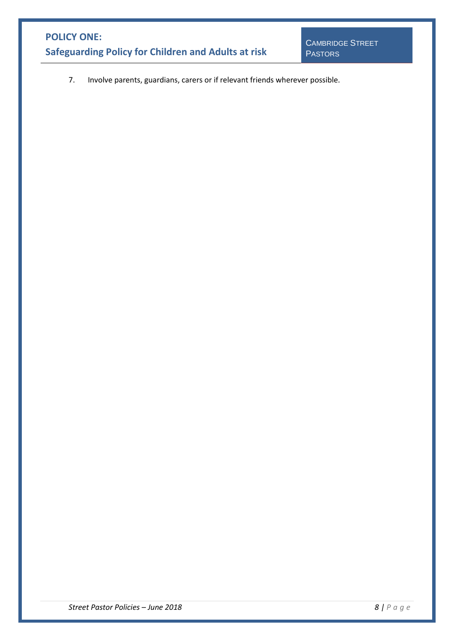7. Involve parents, guardians, carers or if relevant friends wherever possible.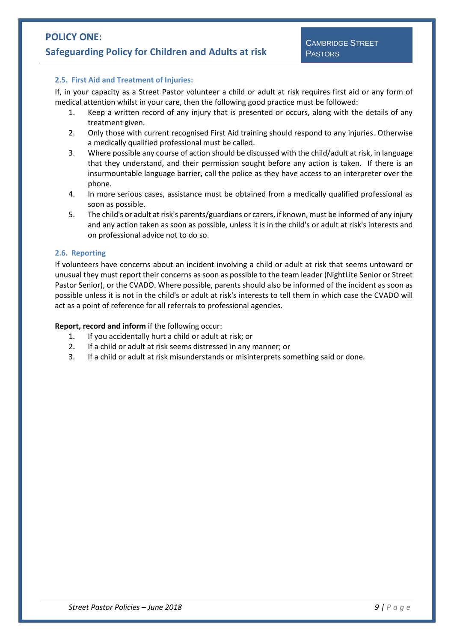#### <span id="page-8-0"></span>**2.5. First Aid and Treatment of Injuries:**

If, in your capacity as a Street Pastor volunteer a child or adult at risk requires first aid or any form of medical attention whilst in your care, then the following good practice must be followed:

- 1. Keep a written record of any injury that is presented or occurs, along with the details of any treatment given.
- 2. Only those with current recognised First Aid training should respond to any injuries. Otherwise a medically qualified professional must be called.
- 3. Where possible any course of action should be discussed with the child/adult at risk, in language that they understand, and their permission sought before any action is taken. If there is an insurmountable language barrier, call the police as they have access to an interpreter over the phone.
- 4. In more serious cases, assistance must be obtained from a medically qualified professional as soon as possible.
- 5. The child's or adult at risk's parents/guardians or carers, if known, must be informed of any injury and any action taken as soon as possible, unless it is in the child's or adult at risk's interests and on professional advice not to do so.

#### <span id="page-8-1"></span>**2.6. Reporting**

If volunteers have concerns about an incident involving a child or adult at risk that seems untoward or unusual they must report their concerns as soon as possible to the team leader (NightLite Senior or Street Pastor Senior), or the CVADO. Where possible, parents should also be informed of the incident as soon as possible unless it is not in the child's or adult at risk's interests to tell them in which case the CVADO will act as a point of reference for all referrals to professional agencies.

#### **Report, record and inform** if the following occur:

- 1. If you accidentally hurt a child or adult at risk; or
- 2. If a child or adult at risk seems distressed in any manner; or
- 3. If a child or adult at risk misunderstands or misinterprets something said or done.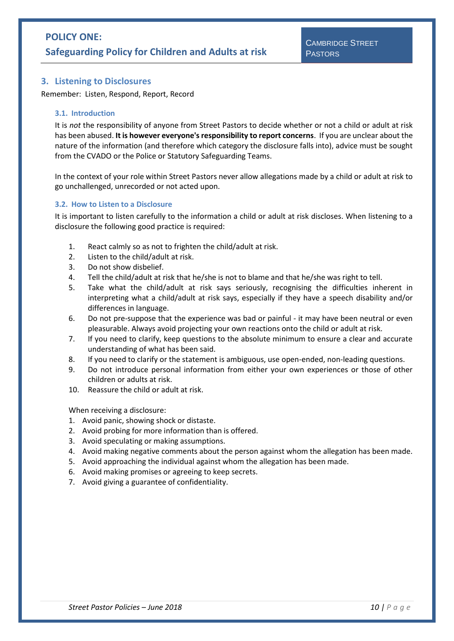### <span id="page-9-0"></span>**3. Listening to Disclosures**

Remember: Listen, Respond, Report, Record

#### <span id="page-9-1"></span>**3.1. Introduction**

It is *not* the responsibility of anyone from Street Pastors to decide whether or not a child or adult at risk has been abused. **It is however everyone's responsibility to report concerns**. If you are unclear about the nature of the information (and therefore which category the disclosure falls into), advice must be sought from the CVADO or the Police or Statutory Safeguarding Teams.

In the context of your role within Street Pastors never allow allegations made by a child or adult at risk to go unchallenged, unrecorded or not acted upon.

#### <span id="page-9-2"></span>**3.2. How to Listen to a Disclosure**

It is important to listen carefully to the information a child or adult at risk discloses. When listening to a disclosure the following good practice is required:

- 1. React calmly so as not to frighten the child/adult at risk.
- 2. Listen to the child/adult at risk.
- 3. Do not show disbelief.
- 4. Tell the child/adult at risk that he/she is not to blame and that he/she was right to tell.
- 5. Take what the child/adult at risk says seriously, recognising the difficulties inherent in interpreting what a child/adult at risk says, especially if they have a speech disability and/or differences in language.
- 6. Do not pre-suppose that the experience was bad or painful it may have been neutral or even pleasurable. Always avoid projecting your own reactions onto the child or adult at risk.
- 7. If you need to clarify, keep questions to the absolute minimum to ensure a clear and accurate understanding of what has been said.
- 8. If you need to clarify or the statement is ambiguous, use open-ended, non-leading questions.
- 9. Do not introduce personal information from either your own experiences or those of other children or adults at risk.
- 10. Reassure the child or adult at risk.

When receiving a disclosure:

- 1. Avoid panic, showing shock or distaste.
- 2. Avoid probing for more information than is offered.
- 3. Avoid speculating or making assumptions.
- 4. Avoid making negative comments about the person against whom the allegation has been made.
- 5. Avoid approaching the individual against whom the allegation has been made.
- 6. Avoid making promises or agreeing to keep secrets.
- 7. Avoid giving a guarantee of confidentiality.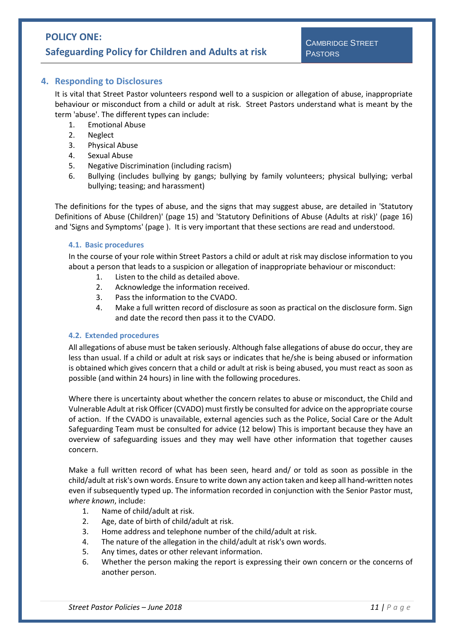### <span id="page-10-0"></span>**4. Responding to Disclosures**

It is vital that Street Pastor volunteers respond well to a suspicion or allegation of abuse, inappropriate behaviour or misconduct from a child or adult at risk. Street Pastors understand what is meant by the term 'abuse'. The different types can include:

- 1. Emotional Abuse
- 2. Neglect
- 3. Physical Abuse
- 4. Sexual Abuse
- 5. Negative Discrimination (including racism)
- 6. Bullying (includes bullying by gangs; bullying by family volunteers; physical bullying; verbal bullying; teasing; and harassment)

The definitions for the types of abuse, and the signs that may suggest abuse, are detailed in ['Statutory](#page-14-1)  [Definitions of Abuse \(Children\)'](#page-14-1) (page [15\)](#page-14-1) and ['Statutory Definitions of Abuse \(Adults at risk\)'](#page-15-4) (page [16\)](#page-15-4) and ['Signs and Symptoms'](#page-16-7) (page ). It is very important that these sections are read and understood.

#### <span id="page-10-1"></span>**4.1. Basic procedures**

In the course of your role within Street Pastors a child or adult at risk may disclose information to you about a person that leads to a suspicion or allegation of inappropriate behaviour or misconduct:

- 1. Listen to the child as detailed above.
- 2. Acknowledge the information received.
- 3. Pass the information to the CVADO.
- 4. Make a full written record of disclosure as soon as practical on the disclosure form. Sign and date the record then pass it to the CVADO.

#### <span id="page-10-2"></span>**4.2. Extended procedures**

All allegations of abuse must be taken seriously. Although false allegations of abuse do occur, they are less than usual. If a child or adult at risk says or indicates that he/she is being abused or information is obtained which gives concern that a child or adult at risk is being abused, you must react as soon as possible (and within 24 hours) in line with the following procedures.

Where there is uncertainty about whether the concern relates to abuse or misconduct, the Child and Vulnerable Adult at risk Officer (CVADO) must firstly be consulted for advice on the appropriate course of action. If the CVADO is unavailable, external agencies such as the Police, Social Care or the Adult Safeguarding Team must be consulted for advice [\(12 below\)](#page-30-0) This is important because they have an overview of safeguarding issues and they may well have other information that together causes concern.

Make a full written record of what has been seen, heard and/ or told as soon as possible in the child/adult at risk's own words. Ensure to write down any action taken and keep all hand-written notes even if subsequently typed up. The information recorded in conjunction with the Senior Pastor must, *where known*, include:

- 1. Name of child/adult at risk.
- 2. Age, date of birth of child/adult at risk.
- 3. Home address and telephone number of the child/adult at risk.
- 4. The nature of the allegation in the child/adult at risk's own words.
- 5. Any times, dates or other relevant information.
- 6. Whether the person making the report is expressing their own concern or the concerns of another person.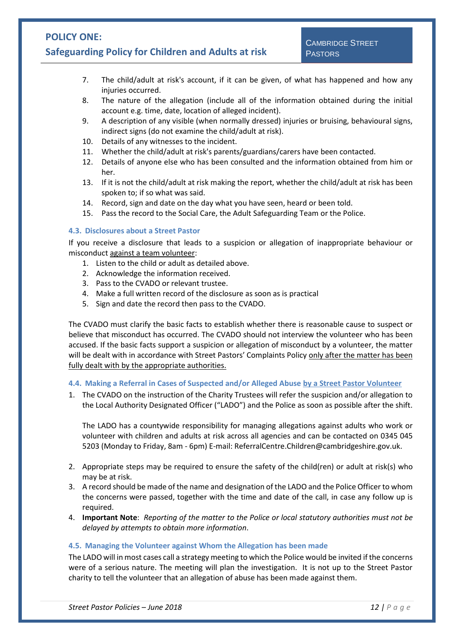- 7. The child/adult at risk's account, if it can be given, of what has happened and how any injuries occurred.
- 8. The nature of the allegation (include all of the information obtained during the initial account e.g. time, date, location of alleged incident).
- 9. A description of any visible (when normally dressed) injuries or bruising, behavioural signs, indirect signs (do not examine the child/adult at risk).
- 10. Details of any witnesses to the incident.
- 11. Whether the child/adult at risk's parents/guardians/carers have been contacted.
- 12. Details of anyone else who has been consulted and the information obtained from him or her.
- 13. If it is not the child/adult at risk making the report, whether the child/adult at risk has been spoken to; if so what was said.
- 14. Record, sign and date on the day what you have seen, heard or been told.
- 15. Pass the record to the Social Care, the Adult Safeguarding Team or the Police.

#### <span id="page-11-0"></span>**4.3. Disclosures about a Street Pastor**

If you receive a disclosure that leads to a suspicion or allegation of inappropriate behaviour or misconduct against a team volunteer:

- 1. Listen to the child or adult as detailed above.
- 2. Acknowledge the information received.
- 3. Pass to the CVADO or relevant trustee.
- 4. Make a full written record of the disclosure as soon as is practical
- 5. Sign and date the record then pass to the CVADO.

The CVADO must clarify the basic facts to establish whether there is reasonable cause to suspect or believe that misconduct has occurred. The CVADO should not interview the volunteer who has been accused. If the basic facts support a suspicion or allegation of misconduct by a volunteer, the matter will be dealt with in accordance with Street Pastors' Complaints Policy only after the matter has been fully dealt with by the appropriate authorities.

<span id="page-11-1"></span>**4.4. Making a Referral in Cases of Suspected and/or Alleged Abuse by a Street Pastor Volunteer**

1. The CVADO on the instruction of the Charity Trustees will refer the suspicion and/or allegation to the Local Authority Designated Officer ("LADO") and the Police as soon as possible after the shift.

The LADO has a countywide responsibility for managing allegations against adults who work or volunteer with children and adults at risk across all agencies and can be contacted on 0345 045 5203 (Monday to Friday, 8am - 6pm) E-mail: ReferralCentre.Children@cambridgeshire.gov.uk.

- 2. Appropriate steps may be required to ensure the safety of the child(ren) or adult at risk(s) who may be at risk.
- 3. A record should be made of the name and designation of the LADO and the Police Officer to whom the concerns were passed, together with the time and date of the call, in case any follow up is required.
- 4. **Important Note**: *Reporting of the matter to the Police or local statutory authorities must not be delayed by attempts to obtain more information*.

#### <span id="page-11-2"></span>**4.5. Managing the Volunteer against Whom the Allegation has been made**

The LADO will in most cases call a strategy meeting to which the Police would be invited if the concerns were of a serious nature. The meeting will plan the investigation. It is not up to the Street Pastor charity to tell the volunteer that an allegation of abuse has been made against them.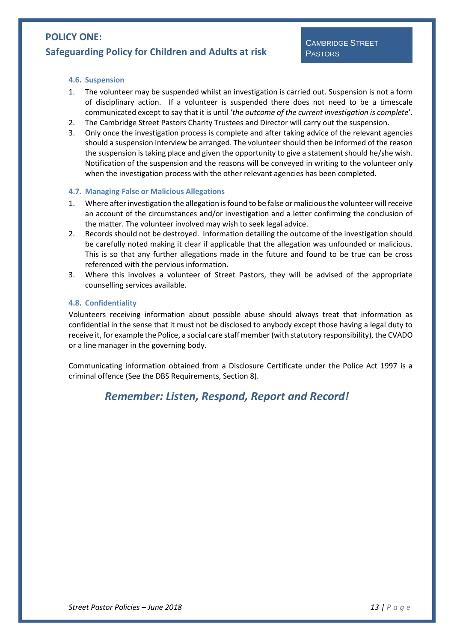#### <span id="page-12-0"></span>**4.6. Suspension**

- 1. The volunteer may be suspended whilst an investigation is carried out. Suspension is not a form of disciplinary action. If a volunteer is suspended there does not need to be a timescale communicated except to say that it is until '*the outcome of the current investigation is complete*'.
- 2. The Cambridge Street Pastors Charity Trustees and Director will carry out the suspension.
- 3. Only once the investigation process is complete and after taking advice of the relevant agencies should a suspension interview be arranged. The volunteer should then be informed of the reason the suspension is taking place and given the opportunity to give a statement should he/she wish. Notification of the suspension and the reasons will be conveyed in writing to the volunteer only when the investigation process with the other relevant agencies has been completed.

#### <span id="page-12-1"></span>**4.7. Managing False or Malicious Allegations**

- 1. Where after investigation the allegation is found to be false or malicious the volunteer will receive an account of the circumstances and/or investigation and a letter confirming the conclusion of the matter. The volunteer involved may wish to seek legal advice.
- 2. Records should not be destroyed. Information detailing the outcome of the investigation should be carefully noted making it clear if applicable that the allegation was unfounded or malicious. This is so that any further allegations made in the future and found to be true can be cross referenced with the pervious information.
- 3. Where this involves a volunteer of Street Pastors, they will be advised of the appropriate counselling services available.

#### <span id="page-12-2"></span>**4.8. Confidentiality**

Volunteers receiving information about possible abuse should always treat that information as confidential in the sense that it must not be disclosed to anybody except those having a legal duty to receive it, for example the Police, a social care staff member (with statutory responsibility), the CVADO or a line manager in the governing body.

Communicating information obtained from a Disclosure Certificate under the Police Act 1997 is a criminal offence (See the DBS Requirements, Section [8\)](#page-21-0).

# *Remember: Listen, Respond, Report and Record!*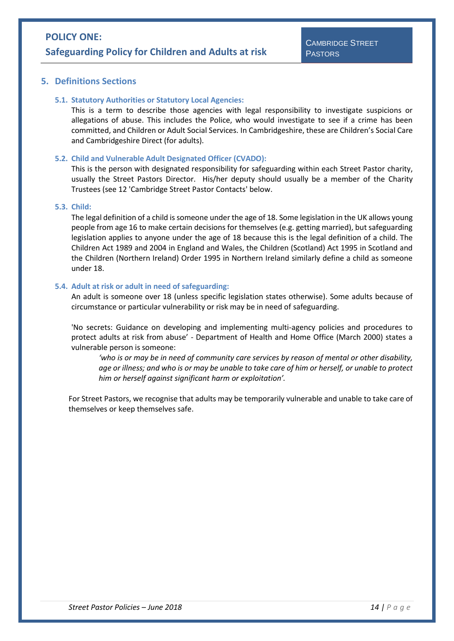### <span id="page-13-1"></span><span id="page-13-0"></span>**5. Definitions Sections**

#### **5.1. Statutory Authorities or Statutory Local Agencies:**

This is a term to describe those agencies with legal responsibility to investigate suspicions or allegations of abuse. This includes the Police, who would investigate to see if a crime has been committed, and Children or Adult Social Services. In Cambridgeshire, these are Children's Social Care and Cambridgeshire Direct (for adults).

#### <span id="page-13-2"></span>**5.2. Child and Vulnerable Adult Designated Officer (CVADO):**

This is the person with designated responsibility for safeguarding within each Street Pastor charity, usually the Street Pastors Director. His/her deputy should usually be a member of the Charity Trustees (see [12](#page-30-0) ['Cambridge Street Pastor Contacts' below.](#page-30-0)

#### <span id="page-13-3"></span>**5.3. Child:**

The legal definition of a child is someone under the age of 18. Some legislation in the UK allows young people from age 16 to make certain decisions for themselves (e.g. getting married), but safeguarding legislation applies to anyone under the age of 18 because this is the legal definition of a child. The Children Act 1989 and 2004 in England and Wales, the Children (Scotland) Act 1995 in Scotland and the Children (Northern Ireland) Order 1995 in Northern Ireland similarly define a child as someone under 18.

#### <span id="page-13-4"></span>**5.4. Adult at risk or adult in need of safeguarding:**

An adult is someone over 18 (unless specific legislation states otherwise). Some adults because of circumstance or particular vulnerability or risk may be in need of safeguarding.

'No secrets: Guidance on developing and implementing multi-agency policies and procedures to protect adults at risk from abuse' - Department of Health and Home Office (March 2000) states a vulnerable person is someone:

*'who is or may be in need of community care services by reason of mental or other disability, age or illness; and who is or may be unable to take care of him or herself, or unable to protect him or herself against significant harm or exploitation'.*

For Street Pastors, we recognise that adults may be temporarily vulnerable and unable to take care of themselves or keep themselves safe.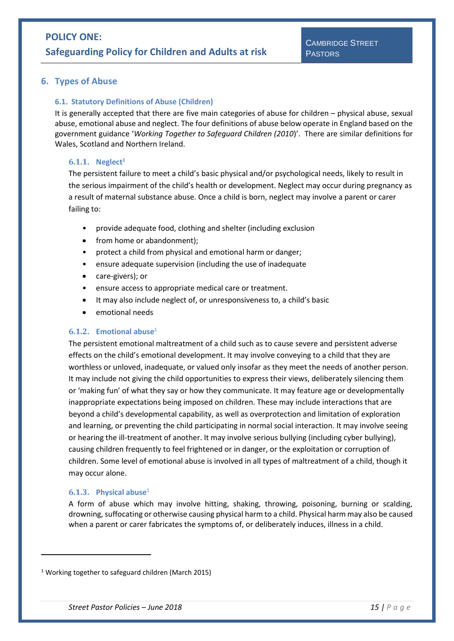### <span id="page-14-1"></span><span id="page-14-0"></span>**6. Types of Abuse**

#### **6.1. Statutory Definitions of Abuse (Children)**

It is generally accepted that there are five main categories of abuse for children – physical abuse, sexual abuse, emotional abuse and neglect. The four definitions of abuse below operate in England based on the government guidance '*Working Together to Safeguard Children (2010*)'. There are similar definitions for Wales, Scotland and Northern Ireland.

#### <span id="page-14-5"></span><span id="page-14-2"></span>**6.1.1. Neglect<sup>1</sup>**

The persistent failure to meet a child's basic physical and/or psychological needs, likely to result in the serious impairment of the child's health or development. Neglect may occur during pregnancy as a result of maternal substance abuse. Once a child is born, neglect may involve a parent or carer failing to:

- provide adequate food, clothing and shelter (including exclusion
- from home or abandonment);
- protect a child from physical and emotional harm or danger;
- ensure adequate supervision (including the use of inadequate
- care-givers); or
- ensure access to appropriate medical care or treatment.
- It may also include neglect of, or unresponsiveness to, a child's basic
- emotional needs

#### <span id="page-14-3"></span>**6.1.2. Emotional abus[e](#page-14-5)**<sup>1</sup>

The persistent emotional maltreatment of a child such as to cause severe and persistent adverse effects on the child's emotional development. It may involve conveying to a child that they are worthless or unloved, inadequate, or valued only insofar as they meet the needs of another person. It may include not giving the child opportunities to express their views, deliberately silencing them or 'making fun' of what they say or how they communicate. It may feature age or developmentally inappropriate expectations being imposed on children. These may include interactions that are beyond a child's developmental capability, as well as overprotection and limitation of exploration and learning, or preventing the child participating in normal social interaction. It may involve seeing or hearing the ill-treatment of another. It may involve serious bullying (including cyber bullying), causing children frequently to feel frightened or in danger, or the exploitation or corruption of children. Some level of emotional abuse is involved in all types of maltreatment of a child, though it may occur alone.

### <span id="page-14-4"></span>**6.1.3. Physical abus[e](#page-14-5)**<sup>1</sup>

**.** 

A form of abuse which may involve hitting, shaking, throwing, poisoning, burning or scalding, drowning, suffocating or otherwise causing physical harm to a child. Physical harm may also be caused when a parent or carer fabricates the symptoms of, or deliberately induces, illness in a child.

<sup>&</sup>lt;sup>1</sup> Working together to safeguard children (March 2015)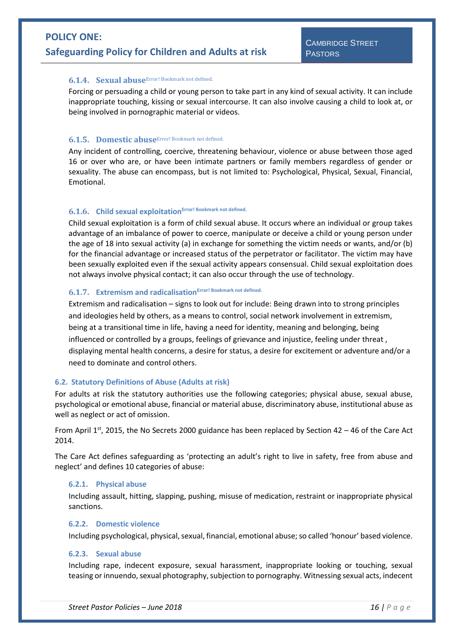#### <span id="page-15-0"></span>**6.1.4. Sexual abuse**Error! Bookmark not defined.

Forcing or persuading a child or young person to take part in any kind of sexual activity. It can include inappropriate touching, kissing or sexual intercourse. It can also involve causing a child to look at, or being involved in pornographic material or videos.

#### <span id="page-15-1"></span>**6.1.5. Domestic abuse**Error! Bookmark not defined.

Any incident of controlling, coercive, threatening behaviour, violence or abuse between those aged 16 or over who are, or have been intimate partners or family members regardless of gender or sexuality. The abuse can encompass, but is not limited to: Psychological, Physical, Sexual, Financial, Emotional.

### <span id="page-15-2"></span>**6.1.6. Child sexual exploitationError! Bookmark not defined.**

Child sexual exploitation is a form of child sexual abuse. It occurs where an individual or group takes advantage of an imbalance of power to coerce, manipulate or deceive a child or young person under the age of 18 into sexual activity (a) in exchange for something the victim needs or wants, and/or (b) for the financial advantage or increased status of the perpetrator or facilitator. The victim may have been sexually exploited even if the sexual activity appears consensual. Child sexual exploitation does not always involve physical contact; it can also occur through the use of technology.

# <span id="page-15-3"></span>**6.1.7. Extremism and radicalisationError! Bookmark not defined.**

Extremism and radicalisation – signs to look out for include: Being drawn into to strong principles and ideologies held by others, as a means to control, social network involvement in extremism, being at a transitional time in life, having a need for identity, meaning and belonging, being influenced or controlled by a groups, feelings of grievance and injustice, feeling under threat , displaying mental health concerns, a desire for status, a desire for excitement or adventure and/or a need to dominate and control others.

#### <span id="page-15-4"></span>**6.2. Statutory Definitions of Abuse (Adults at risk)**

For adults at risk the statutory authorities use the following categories; physical abuse, sexual abuse, psychological or emotional abuse, financial or material abuse, discriminatory abuse, institutional abuse as well as neglect or act of omission.

From April  $1^{st}$ , 2015, the No Secrets 2000 guidance has been replaced by Section 42 – 46 of the Care Act 2014.

The Care Act defines safeguarding as 'protecting an adult's right to live in safety, free from abuse and neglect' and defines 10 categories of abuse:

#### <span id="page-15-5"></span>**6.2.1. Physical abuse**

Including assault, hitting, slapping, pushing, misuse of medication, restraint or inappropriate physical sanctions.

#### <span id="page-15-6"></span>**6.2.2. Domestic violence**

Including psychological, physical, sexual, financial, emotional abuse; so called 'honour' based violence.

#### <span id="page-15-7"></span>**6.2.3. Sexual abuse**

Including rape, indecent exposure, sexual harassment, inappropriate looking or touching, sexual teasing or innuendo, sexual photography, subjection to pornography. Witnessing sexual acts, indecent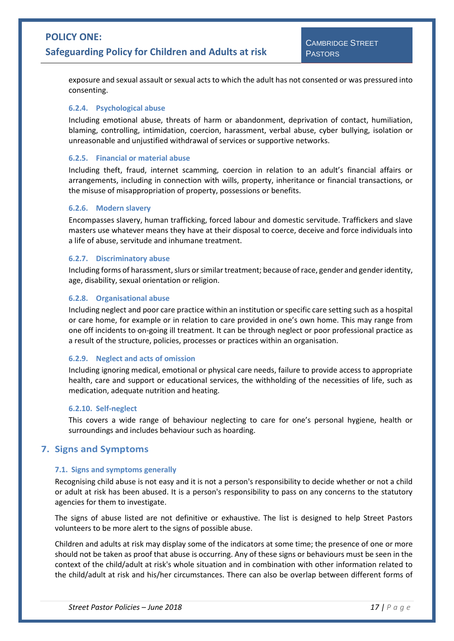exposure and sexual assault or sexual acts to which the adult has not consented or was pressured into consenting.

#### <span id="page-16-0"></span>**6.2.4. Psychological abuse**

Including emotional abuse, threats of harm or abandonment, deprivation of contact, humiliation, blaming, controlling, intimidation, coercion, harassment, verbal abuse, cyber bullying, isolation or unreasonable and unjustified withdrawal of services or supportive networks.

#### <span id="page-16-1"></span>**6.2.5. Financial or material abuse**

Including theft, fraud, internet scamming, coercion in relation to an adult's financial affairs or arrangements, including in connection with wills, property, inheritance or financial transactions, or the misuse of misappropriation of property, possessions or benefits.

#### <span id="page-16-2"></span>**6.2.6. Modern slavery**

Encompasses slavery, human trafficking, forced labour and domestic servitude. Traffickers and slave masters use whatever means they have at their disposal to coerce, deceive and force individuals into a life of abuse, servitude and inhumane treatment.

#### <span id="page-16-3"></span>**6.2.7. Discriminatory abuse**

Including forms of harassment, slurs or similar treatment; because of race, gender and gender identity, age, disability, sexual orientation or religion.

#### <span id="page-16-4"></span>**6.2.8. Organisational abuse**

Including neglect and poor care practice within an institution or specific care setting such as a hospital or care home, for example or in relation to care provided in one's own home. This may range from one off incidents to on-going ill treatment. It can be through neglect or poor professional practice as a result of the structure, policies, processes or practices within an organisation.

#### <span id="page-16-5"></span>**6.2.9. Neglect and acts of omission**

Including ignoring medical, emotional or physical care needs, failure to provide access to appropriate health, care and support or educational services, the withholding of the necessities of life, such as medication, adequate nutrition and heating.

#### <span id="page-16-6"></span>**6.2.10. Self-neglect**

This covers a wide range of behaviour neglecting to care for one's personal hygiene, health or surroundings and includes behaviour such as hoarding.

### <span id="page-16-8"></span><span id="page-16-7"></span>**7. Signs and Symptoms**

#### **7.1. Signs and symptoms generally**

Recognising child abuse is not easy and it is not a person's responsibility to decide whether or not a child or adult at risk has been abused. It is a person's responsibility to pass on any concerns to the statutory agencies for them to investigate.

The signs of abuse listed are not definitive or exhaustive. The list is designed to help Street Pastors volunteers to be more alert to the signs of possible abuse.

Children and adults at risk may display some of the indicators at some time; the presence of one or more should not be taken as proof that abuse is occurring. Any of these signs or behaviours must be seen in the context of the child/adult at risk's whole situation and in combination with other information related to the child/adult at risk and his/her circumstances. There can also be overlap between different forms of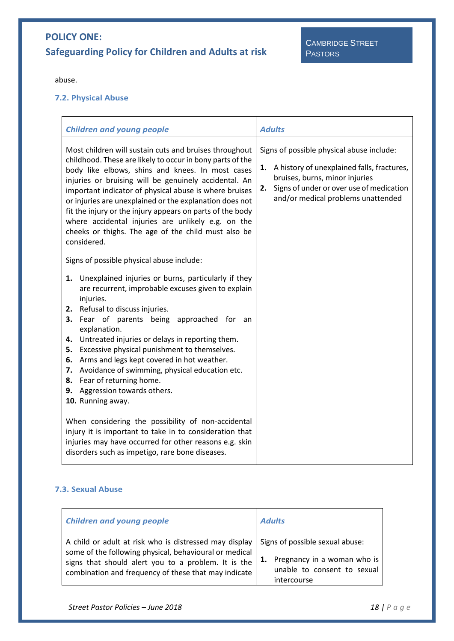abuse.

### <span id="page-17-0"></span>**7.2. Physical Abuse**

| <b>Children and young people</b>                                                                                                                                                                                                                                                                                                                                                                                                                                                                                                                                                                | <b>Adults</b>                                                                                                                                                                                                        |  |
|-------------------------------------------------------------------------------------------------------------------------------------------------------------------------------------------------------------------------------------------------------------------------------------------------------------------------------------------------------------------------------------------------------------------------------------------------------------------------------------------------------------------------------------------------------------------------------------------------|----------------------------------------------------------------------------------------------------------------------------------------------------------------------------------------------------------------------|--|
| Most children will sustain cuts and bruises throughout<br>childhood. These are likely to occur in bony parts of the<br>body like elbows, shins and knees. In most cases<br>injuries or bruising will be genuinely accidental. An<br>important indicator of physical abuse is where bruises<br>or injuries are unexplained or the explanation does not<br>fit the injury or the injury appears on parts of the body<br>where accidental injuries are unlikely e.g. on the<br>cheeks or thighs. The age of the child must also be<br>considered.                                                  | Signs of possible physical abuse include:<br>1. A history of unexplained falls, fractures,<br>bruises, burns, minor injuries<br>Signs of under or over use of medication<br>2.<br>and/or medical problems unattended |  |
| Signs of possible physical abuse include:<br>1. Unexplained injuries or burns, particularly if they<br>are recurrent, improbable excuses given to explain<br>injuries.<br>Refusal to discuss injuries.<br>2.<br>Fear of parents being approached for an<br>3.<br>explanation.<br>Untreated injuries or delays in reporting them.<br>4.<br>Excessive physical punishment to themselves.<br>5.<br>Arms and legs kept covered in hot weather.<br>6.<br>Avoidance of swimming, physical education etc.<br>7.<br>Fear of returning home.<br>8.<br>9. Aggression towards others.<br>10. Running away. |                                                                                                                                                                                                                      |  |
| When considering the possibility of non-accidental<br>injury it is important to take in to consideration that<br>injuries may have occurred for other reasons e.g. skin<br>disorders such as impetigo, rare bone diseases.                                                                                                                                                                                                                                                                                                                                                                      |                                                                                                                                                                                                                      |  |

### <span id="page-17-1"></span>**7.3. Sexual Abuse**

| <b>Children and young people</b>                       | <b>Adults</b>                   |  |
|--------------------------------------------------------|---------------------------------|--|
| A child or adult at risk who is distressed may display | Signs of possible sexual abuse: |  |
| some of the following physical, behavioural or medical | Pregnancy in a woman who is     |  |
| signs that should alert you to a problem. It is the    | unable to consent to sexual     |  |
| combination and frequency of these that may indicate   | intercourse                     |  |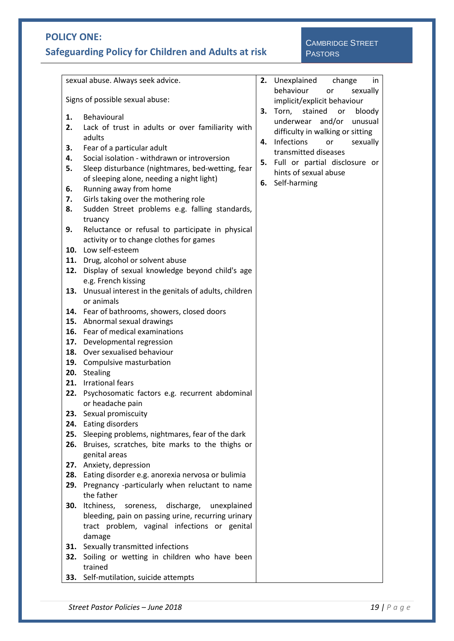# **Safeguarding Policy for Children and Adults at risk**

## CAMBRIDGE STREET **PASTORS**

|                                 | sexual abuse. Always seek advice.<br>2. Unexplained change<br>in                                                                                                                                                                                         |    |                                                                                                                                                                                                                                             |  |  |
|---------------------------------|----------------------------------------------------------------------------------------------------------------------------------------------------------------------------------------------------------------------------------------------------------|----|---------------------------------------------------------------------------------------------------------------------------------------------------------------------------------------------------------------------------------------------|--|--|
| Signs of possible sexual abuse: |                                                                                                                                                                                                                                                          |    | behaviour<br>sexually<br>or<br>implicit/explicit behaviour                                                                                                                                                                                  |  |  |
| 1.<br>2.<br>З.<br>4.<br>5.      | Behavioural<br>Lack of trust in adults or over familiarity with<br>adults<br>Fear of a particular adult<br>Social isolation - withdrawn or introversion<br>Sleep disturbance (nightmares, bed-wetting, fear<br>of sleeping alone, needing a night light) | 3. | Torn,<br>stained<br>bloody<br>or<br>underwear and/or unusual<br>difficulty in walking or sitting<br>4. Infections<br>sexually<br>or<br>transmitted diseases<br>5. Full or partial disclosure or<br>hints of sexual abuse<br>6. Self-harming |  |  |
| 6.<br>7.<br>8.                  | Running away from home<br>Girls taking over the mothering role<br>Sudden Street problems e.g. falling standards,<br>truancy                                                                                                                              |    |                                                                                                                                                                                                                                             |  |  |
| 9.                              | Reluctance or refusal to participate in physical<br>activity or to change clothes for games<br>10. Low self-esteem                                                                                                                                       |    |                                                                                                                                                                                                                                             |  |  |
| 12.                             | 11. Drug, alcohol or solvent abuse<br>Display of sexual knowledge beyond child's age<br>e.g. French kissing                                                                                                                                              |    |                                                                                                                                                                                                                                             |  |  |
|                                 | 13. Unusual interest in the genitals of adults, children<br>or animals<br>14. Fear of bathrooms, showers, closed doors                                                                                                                                   |    |                                                                                                                                                                                                                                             |  |  |
|                                 | 15. Abnormal sexual drawings<br>16. Fear of medical examinations<br>17. Developmental regression                                                                                                                                                         |    |                                                                                                                                                                                                                                             |  |  |
|                                 | 18. Over sexualised behaviour<br>19. Compulsive masturbation<br>20. Stealing                                                                                                                                                                             |    |                                                                                                                                                                                                                                             |  |  |
| 22.                             | 21. Irrational fears<br>Psychosomatic factors e.g. recurrent abdominal<br>or headache pain                                                                                                                                                               |    |                                                                                                                                                                                                                                             |  |  |
| 25.<br>26.                      | 23. Sexual promiscuity<br>24. Eating disorders<br>Sleeping problems, nightmares, fear of the dark<br>Bruises, scratches, bite marks to the thighs or                                                                                                     |    |                                                                                                                                                                                                                                             |  |  |
| 28.<br>29.                      | genital areas<br>27. Anxiety, depression<br>Eating disorder e.g. anorexia nervosa or bulimia<br>Pregnancy -particularly when reluctant to name                                                                                                           |    |                                                                                                                                                                                                                                             |  |  |
| 30.                             | the father<br>Itchiness, soreness, discharge,<br>unexplained<br>bleeding, pain on passing urine, recurring urinary<br>tract problem, vaginal infections or genital                                                                                       |    |                                                                                                                                                                                                                                             |  |  |
| 32.                             | damage<br>31. Sexually transmitted infections<br>Soiling or wetting in children who have been<br>trained                                                                                                                                                 |    |                                                                                                                                                                                                                                             |  |  |
|                                 | 33. Self-mutilation, suicide attempts                                                                                                                                                                                                                    |    |                                                                                                                                                                                                                                             |  |  |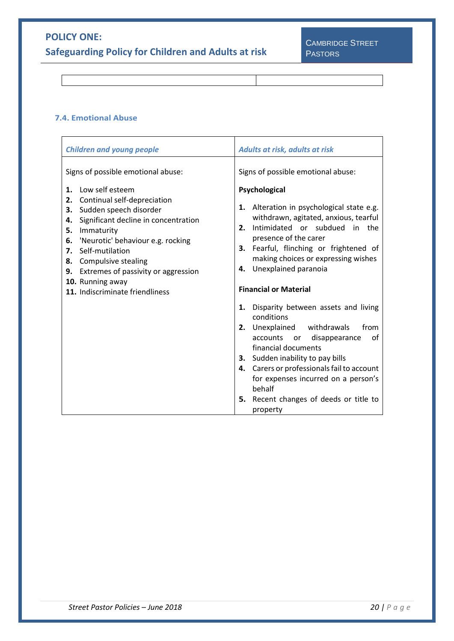**Safeguarding Policy for Children and Adults at risk**

### <span id="page-19-0"></span>**7.4. Emotional Abuse**

| <b>Children and young people</b>                                                                                                                                                                                                                                                                                                                               | Adults at risk, adults at risk                                                                                                                                                                                                                                                                                           |  |  |
|----------------------------------------------------------------------------------------------------------------------------------------------------------------------------------------------------------------------------------------------------------------------------------------------------------------------------------------------------------------|--------------------------------------------------------------------------------------------------------------------------------------------------------------------------------------------------------------------------------------------------------------------------------------------------------------------------|--|--|
| Signs of possible emotional abuse:<br>Low self esteem<br>1.<br>Continual self-depreciation<br>2.<br>Sudden speech disorder<br>3.<br>Significant decline in concentration<br>4.<br>Immaturity<br>5.<br>'Neurotic' behaviour e.g. rocking<br>6.<br>Self-mutilation<br>7.<br>8. Compulsive stealing<br>9. Extremes of passivity or aggression<br>10. Running away | Signs of possible emotional abuse:<br>Psychological<br>1. Alteration in psychological state e.g.<br>withdrawn, agitated, anxious, tearful<br>Intimidated or subdued in the<br>2.<br>presence of the carer<br>3. Fearful, flinching or frightened of<br>making choices or expressing wishes<br>Unexplained paranoia<br>4. |  |  |
| 11. Indiscriminate friendliness                                                                                                                                                                                                                                                                                                                                | <b>Financial or Material</b>                                                                                                                                                                                                                                                                                             |  |  |
|                                                                                                                                                                                                                                                                                                                                                                | Disparity between assets and living<br>1.<br>conditions<br>from<br>2. Unexplained withdrawals<br>of<br>accounts or<br>disappearance<br>financial documents                                                                                                                                                               |  |  |
|                                                                                                                                                                                                                                                                                                                                                                | 3. Sudden inability to pay bills<br>4. Carers or professionals fail to account<br>for expenses incurred on a person's<br>behalf<br>5. Recent changes of deeds or title to<br>property                                                                                                                                    |  |  |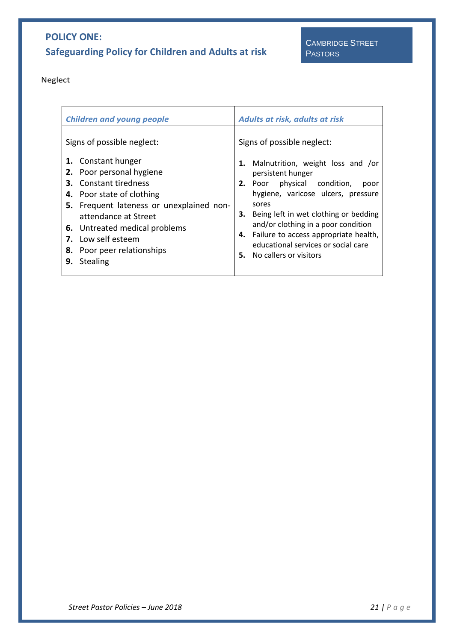Neglect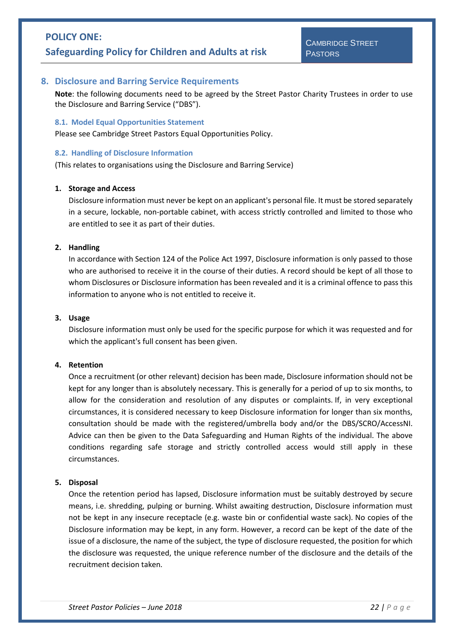### <span id="page-21-0"></span>**8. Disclosure and Barring Service Requirements**

**Note**: the following documents need to be agreed by the Street Pastor Charity Trustees in order to use the Disclosure and Barring Service ("DBS").

#### <span id="page-21-1"></span>**8.1. Model Equal Opportunities Statement**

Please see Cambridge Street Pastors Equal Opportunities Policy.

#### <span id="page-21-2"></span>**8.2. Handling of Disclosure Information**

(This relates to organisations using the Disclosure and Barring Service)

#### **1. Storage and Access**

Disclosure information must never be kept on an applicant's personal file. It must be stored separately in a secure, lockable, non-portable cabinet, with access strictly controlled and limited to those who are entitled to see it as part of their duties.

#### **2. Handling**

In accordance with Section 124 of the Police Act 1997, Disclosure information is only passed to those who are authorised to receive it in the course of their duties. A record should be kept of all those to whom Disclosures or Disclosure information has been revealed and it is a criminal offence to pass this information to anyone who is not entitled to receive it.

#### **3. Usage**

Disclosure information must only be used for the specific purpose for which it was requested and for which the applicant's full consent has been given.

#### **4. Retention**

Once a recruitment (or other relevant) decision has been made, Disclosure information should not be kept for any longer than is absolutely necessary. This is generally for a period of up to six months, to allow for the consideration and resolution of any disputes or complaints. If, in very exceptional circumstances, it is considered necessary to keep Disclosure information for longer than six months, consultation should be made with the registered/umbrella body and/or the DBS/SCRO/AccessNI. Advice can then be given to the Data Safeguarding and Human Rights of the individual. The above conditions regarding safe storage and strictly controlled access would still apply in these circumstances.

#### **5. Disposal**

Once the retention period has lapsed, Disclosure information must be suitably destroyed by secure means, i.e. shredding, pulping or burning. Whilst awaiting destruction, Disclosure information must not be kept in any insecure receptacle (e.g. waste bin or confidential waste sack). No copies of the Disclosure information may be kept, in any form. However, a record can be kept of the date of the issue of a disclosure, the name of the subject, the type of disclosure requested, the position for which the disclosure was requested, the unique reference number of the disclosure and the details of the recruitment decision taken.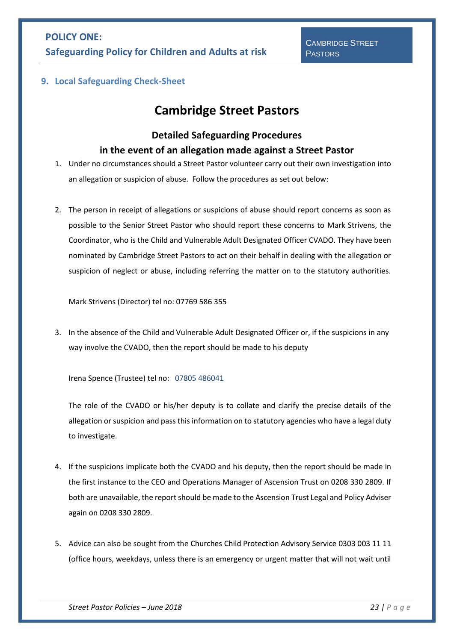<span id="page-22-0"></span>**9. Local Safeguarding Check-Sheet**

# **Cambridge Street Pastors**

# **Detailed Safeguarding Procedures in the event of an allegation made against a Street Pastor**

1. Under no circumstances should a Street Pastor volunteer carry out their own investigation into an allegation or suspicion of abuse. Follow the procedures as set out below:

2. The person in receipt of allegations or suspicions of abuse should report concerns as soon as possible to the Senior Street Pastor who should report these concerns to Mark Strivens, the Coordinator, who is the Child and Vulnerable Adult Designated Officer CVADO. They have been nominated by Cambridge Street Pastors to act on their behalf in dealing with the allegation or suspicion of neglect or abuse, including referring the matter on to the statutory authorities.

Mark Strivens (Director) tel no: 07769 586 355

3. In the absence of the Child and Vulnerable Adult Designated Officer or, if the suspicions in any way involve the CVADO, then the report should be made to his deputy

Irena Spence (Trustee) tel no: 07805 486041

The role of the CVADO or his/her deputy is to collate and clarify the precise details of the allegation or suspicion and pass this information on to statutory agencies who have a legal duty to investigate.

- 4. If the suspicions implicate both the CVADO and his deputy, then the report should be made in the first instance to the CEO and Operations Manager of Ascension Trust on 0208 330 2809. If both are unavailable, the report should be made to the Ascension Trust Legal and Policy Adviser again on 0208 330 2809.
- 5. Advice can also be sought from the Churches Child Protection Advisory Service 0303 003 11 11 (office hours, weekdays, unless there is an emergency or urgent matter that will not wait until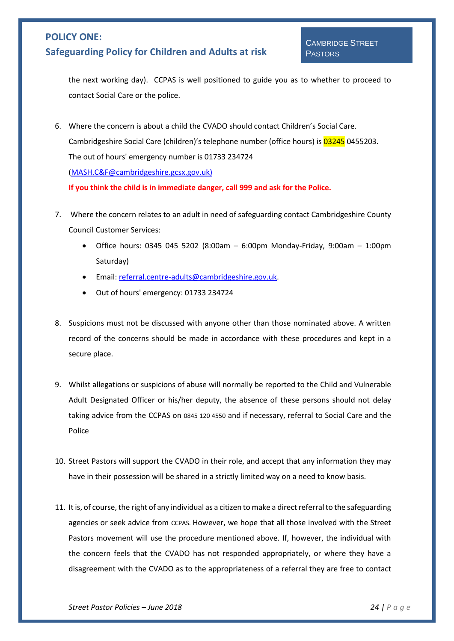# **Safeguarding Policy for Children and Adults at risk**

the next working day). CCPAS is well positioned to guide you as to whether to proceed to contact Social Care or the police.

6. Where the concern is about a child the CVADO should contact Children's Social Care. Cambridgeshire Social Care (children)'s telephone number (office hours) is 03245 0455203. The out of hours' emergency number is 01733 234724 [\(MASH.C&F@cambridgeshire.gcsx.gov.uk\)](mailto:MASH.C&F@cambridgeshire.gcsx.gov.uk)

**If you think the child is in immediate danger, call 999 and ask for the Police.**

- 7. Where the concern relates to an adult in need of safeguarding contact Cambridgeshire County Council Customer Services:
	- Office hours: 0345 045 5202 (8:00am 6:00pm Monday-Friday, 9:00am 1:00pm Saturday)
	- Email: [referral.centre-adults@cambridgeshire.gov.uk.](mailto:referral.centre-adults@cambridgeshire.gov.uk)
	- Out of hours' emergency: 01733 234724
- 8. Suspicions must not be discussed with anyone other than those nominated above. A written record of the concerns should be made in accordance with these procedures and kept in a secure place.
- 9. Whilst allegations or suspicions of abuse will normally be reported to the Child and Vulnerable Adult Designated Officer or his/her deputy, the absence of these persons should not delay taking advice from the CCPAS on 0845 120 4550 and if necessary, referral to Social Care and the Police
- 10. Street Pastors will support the CVADO in their role, and accept that any information they may have in their possession will be shared in a strictly limited way on a need to know basis.
- 11. It is, of course, the right of any individual as a citizen to make a direct referral to the safeguarding agencies or seek advice from CCPAS. However, we hope that all those involved with the Street Pastors movement will use the procedure mentioned above. If, however, the individual with the concern feels that the CVADO has not responded appropriately, or where they have a disagreement with the CVADO as to the appropriateness of a referral they are free to contact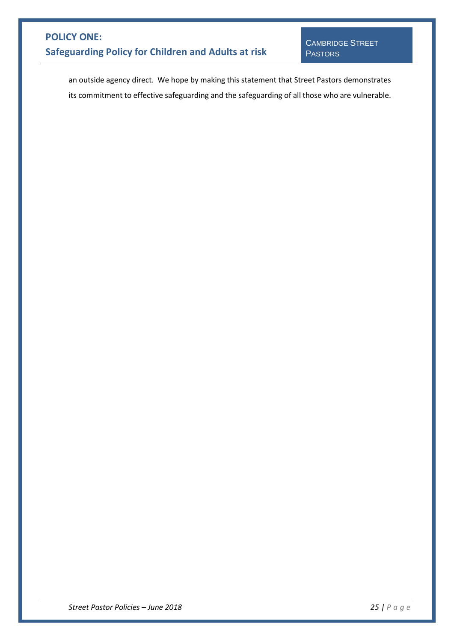an outside agency direct. We hope by making this statement that Street Pastors demonstrates its commitment to effective safeguarding and the safeguarding of all those who are vulnerable.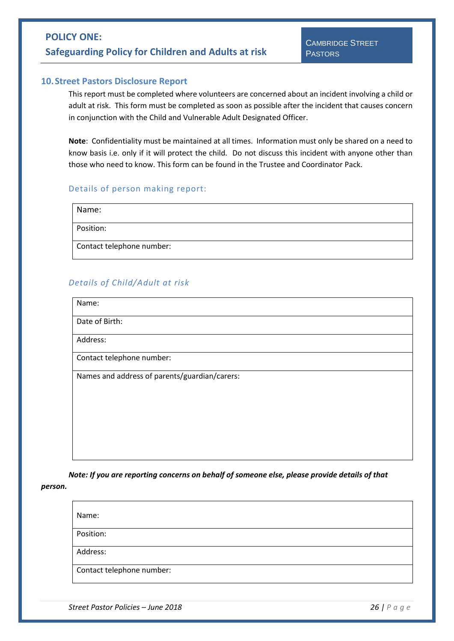#### <span id="page-25-0"></span>**10.Street Pastors Disclosure Report**

This report must be completed where volunteers are concerned about an incident involving a child or adult at risk. This form must be completed as soon as possible after the incident that causes concern in conjunction with the Child and Vulnerable Adult Designated Officer.

**Note**: Confidentiality must be maintained at all times. Information must only be shared on a need to know basis i.e. only if it will protect the child. Do not discuss this incident with anyone other than those who need to know. This form can be found in the Trustee and Coordinator Pack.

#### Details of person making report:

| Name:                     |
|---------------------------|
| Position:                 |
| Contact telephone number: |

### *Details of Child/Adult at risk*

Name:

Date of Birth:

Address:

Contact telephone number:

Names and address of parents/guardian/carers:

*Note: If you are reporting concerns on behalf of someone else, please provide details of that* 

*person.*

Name:

Position:

Address:

Contact telephone number: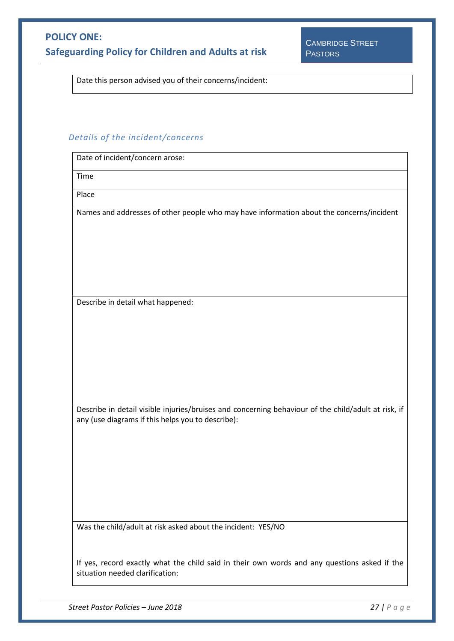Date this person advised you of their concerns/incident:

### *Details of the incident/concerns*

| returns of the incruently concerns                                                                                                                       |
|----------------------------------------------------------------------------------------------------------------------------------------------------------|
| Date of incident/concern arose:                                                                                                                          |
| Time                                                                                                                                                     |
| Place                                                                                                                                                    |
| Names and addresses of other people who may have information about the concerns/incident                                                                 |
| Describe in detail what happened:                                                                                                                        |
|                                                                                                                                                          |
| Describe in detail visible injuries/bruises and concerning behaviour of the child/adult at risk, if<br>any (use diagrams if this helps you to describe): |
|                                                                                                                                                          |
| Was the child/adult at risk asked about the incident: YES/NO                                                                                             |
| If yes, record exactly what the child said in their own words and any questions asked if the<br>situation needed clarification:                          |

*Street Pastor Policies – June 2018 27 | P a g e*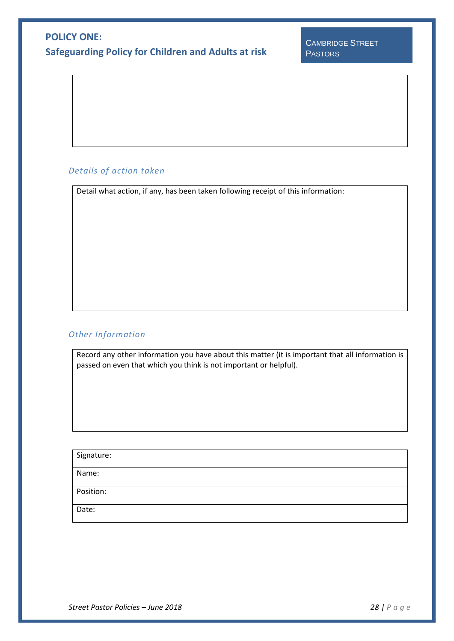### *Details of action taken*

Detail what action, if any, has been taken following receipt of this information:

#### *Other Information*

Record any other information you have about this matter (it is important that all information is passed on even that which you think is not important or helpful).

| Signature: |  |
|------------|--|
| Name:      |  |
| Position:  |  |
| Date:      |  |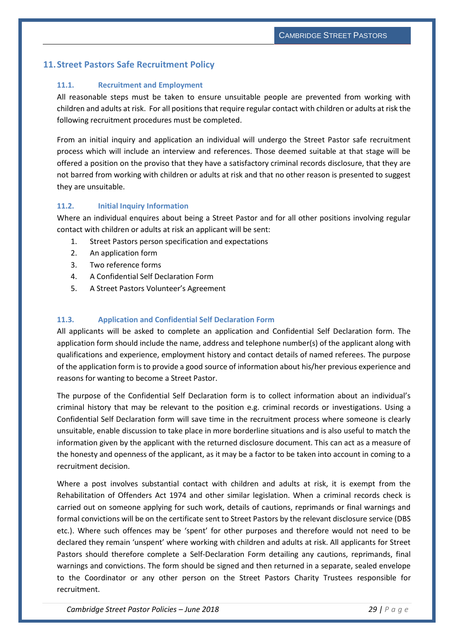### <span id="page-28-1"></span><span id="page-28-0"></span>**11.Street Pastors Safe Recruitment Policy**

#### **11.1. Recruitment and Employment**

All reasonable steps must be taken to ensure unsuitable people are prevented from working with children and adults at risk. For all positions that require regular contact with children or adults at risk the following recruitment procedures must be completed.

From an initial inquiry and application an individual will undergo the Street Pastor safe recruitment process which will include an interview and references. Those deemed suitable at that stage will be offered a position on the proviso that they have a satisfactory criminal records disclosure, that they are not barred from working with children or adults at risk and that no other reason is presented to suggest they are unsuitable.

#### <span id="page-28-2"></span>**11.2. Initial Inquiry Information**

Where an individual enquires about being a Street Pastor and for all other positions involving regular contact with children or adults at risk an applicant will be sent:

- 1. Street Pastors person specification and expectations
- 2. An application form
- 3. Two reference forms
- 4. A Confidential Self Declaration Form
- 5. A Street Pastors Volunteer's Agreement

#### <span id="page-28-3"></span>**11.3. Application and Confidential Self Declaration Form**

All applicants will be asked to complete an application and Confidential Self Declaration form. The application form should include the name, address and telephone number(s) of the applicant along with qualifications and experience, employment history and contact details of named referees. The purpose of the application form is to provide a good source of information about his/her previous experience and reasons for wanting to become a Street Pastor.

The purpose of the Confidential Self Declaration form is to collect information about an individual's criminal history that may be relevant to the position e.g. criminal records or investigations. Using a Confidential Self Declaration form will save time in the recruitment process where someone is clearly unsuitable, enable discussion to take place in more borderline situations and is also useful to match the information given by the applicant with the returned disclosure document. This can act as a measure of the honesty and openness of the applicant, as it may be a factor to be taken into account in coming to a recruitment decision.

Where a post involves substantial contact with children and adults at risk, it is exempt from the Rehabilitation of Offenders Act 1974 and other similar legislation. When a criminal records check is carried out on someone applying for such work, details of cautions, reprimands or final warnings and formal convictions will be on the certificate sent to Street Pastors by the relevant disclosure service (DBS etc.). Where such offences may be 'spent' for other purposes and therefore would not need to be declared they remain 'unspent' where working with children and adults at risk. All applicants for Street Pastors should therefore complete a Self-Declaration Form detailing any cautions, reprimands, final warnings and convictions. The form should be signed and then returned in a separate, sealed envelope to the Coordinator or any other person on the Street Pastors Charity Trustees responsible for recruitment.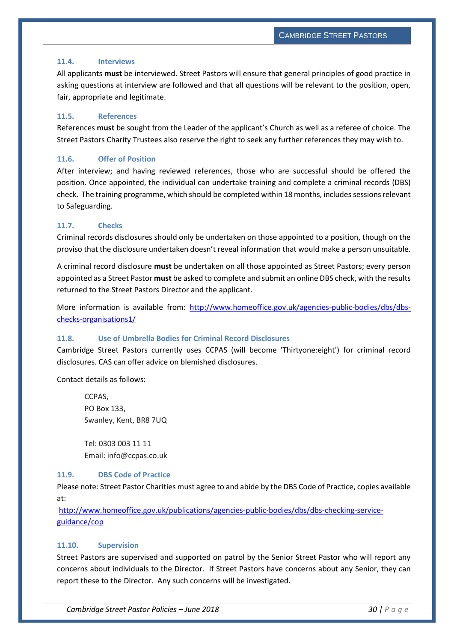#### <span id="page-29-0"></span>**11.4. Interviews**

All applicants **must** be interviewed. Street Pastors will ensure that general principles of good practice in asking questions at interview are followed and that all questions will be relevant to the position, open, fair, appropriate and legitimate.

#### <span id="page-29-1"></span>**11.5. References**

References **must** be sought from the Leader of the applicant's Church as well as a referee of choice. The Street Pastors Charity Trustees also reserve the right to seek any further references they may wish to.

#### <span id="page-29-2"></span>**11.6. Offer of Position**

After interview; and having reviewed references, those who are successful should be offered the position. Once appointed, the individual can undertake training and complete a criminal records (DBS) check. The training programme, which should be completed within 18 months, includes sessionsrelevant to Safeguarding.

#### <span id="page-29-3"></span>**11.7. Checks**

Criminal records disclosures should only be undertaken on those appointed to a position, though on the proviso that the disclosure undertaken doesn't reveal information that would make a person unsuitable.

A criminal record disclosure **must** be undertaken on all those appointed as Street Pastors; every person appointed as a Street Pastor **must** be asked to complete and submit an online DBS check, with the results returned to the Street Pastors Director and the applicant.

More information is available from: [http://www.homeoffice.gov.uk/agencies-public-bodies/dbs/dbs](http://www.homeoffice.gov.uk/agencies-public-bodies/dbs/dbs-checks-organisations1/)[checks-organisations1/](http://www.homeoffice.gov.uk/agencies-public-bodies/dbs/dbs-checks-organisations1/)

#### <span id="page-29-4"></span>**11.8. Use of Umbrella Bodies for Criminal Record Disclosures**

Cambridge Street Pastors currently uses CCPAS (will become 'Thirtyone:eight') for criminal record disclosures. CAS can offer advice on blemished disclosures.

Contact details as follows:

CCPAS, PO Box 133, Swanley, Kent, BR8 7UQ

Tel: 0303 003 11 11 Email: info@ccpas.co.uk

#### <span id="page-29-5"></span>**11.9. DBS Code of Practice**

Please note: Street Pastor Charities must agree to and abide by the DBS Code of Practice, copies available at:

[http://www.homeoffice.gov.uk/publications/agencies-public-bodies/dbs/dbs-checking-service](http://www.homeoffice.gov.uk/publications/agencies-public-bodies/dbs/dbs-checking-service-guidance/cop)[guidance/cop](http://www.homeoffice.gov.uk/publications/agencies-public-bodies/dbs/dbs-checking-service-guidance/cop) 

#### **11.10. Supervision**

Street Pastors are supervised and supported on patrol by the Senior Street Pastor who will report any concerns about individuals to the Director. If Street Pastors have concerns about any Senior, they can report these to the Director. Any such concerns will be investigated.